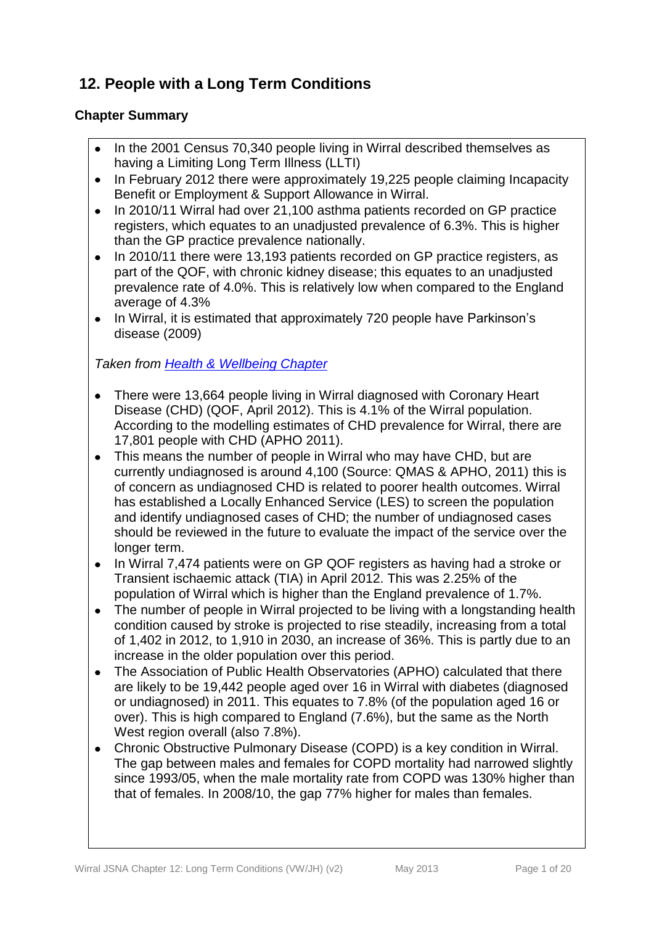# **12. People with a Long Term Conditions**

# **Chapter Summary**

- In the 2001 Census 70,340 people living in Wirral described themselves as having a Limiting Long Term Illness (LLTI)
- In February 2012 there were approximately 19,225 people claiming Incapacity  $\bullet$ Benefit or Employment & Support Allowance in Wirral.
- In 2010/11 Wirral had over 21,100 asthma patients recorded on GP practice  $\bullet$ registers, which equates to an unadjusted prevalence of 6.3%. This is higher than the GP practice prevalence nationally.
- In 2010/11 there were 13,193 patients recorded on GP practice registers, as  $\bullet$ part of the QOF, with chronic kidney disease; this equates to an unadjusted prevalence rate of 4.0%. This is relatively low when compared to the England average of 4.3%
- In Wirral, it is estimated that approximately 720 people have Parkinson's disease (2009)

*Taken from [Health & Wellbeing Chapter](http://info.wirral.nhs.uk/document_uploads/Downloads/Health%20and%20Wellbeing%20August%202012_67788.pdf)*

- There were 13,664 people living in Wirral diagnosed with Coronary Heart Disease (CHD) (QOF, April 2012). This is 4.1% of the Wirral population. According to the modelling estimates of CHD prevalence for Wirral, there are 17,801 people with CHD (APHO 2011).
- This means the number of people in Wirral who may have CHD, but are currently undiagnosed is around 4,100 (Source: QMAS & APHO, 2011) this is of concern as undiagnosed CHD is related to poorer health outcomes. Wirral has established a Locally Enhanced Service (LES) to screen the population and identify undiagnosed cases of CHD; the number of undiagnosed cases should be reviewed in the future to evaluate the impact of the service over the longer term.
- In Wirral 7,474 patients were on GP QOF registers as having had a stroke or  $\bullet$ Transient ischaemic attack (TIA) in April 2012. This was 2.25% of the population of Wirral which is higher than the England prevalence of 1.7%.
- The number of people in Wirral projected to be living with a longstanding health  $\bullet$ condition caused by stroke is projected to rise steadily, increasing from a total of 1,402 in 2012, to 1,910 in 2030, an increase of 36%. This is partly due to an increase in the older population over this period.
- The Association of Public Health Observatories (APHO) calculated that there are likely to be 19,442 people aged over 16 in Wirral with diabetes (diagnosed or undiagnosed) in 2011. This equates to 7.8% (of the population aged 16 or over). This is high compared to England (7.6%), but the same as the North West region overall (also 7.8%).
- Chronic Obstructive Pulmonary Disease (COPD) is a key condition in Wirral. The gap between males and females for COPD mortality had narrowed slightly since 1993/05, when the male mortality rate from COPD was 130% higher than that of females. In 2008/10, the gap 77% higher for males than females.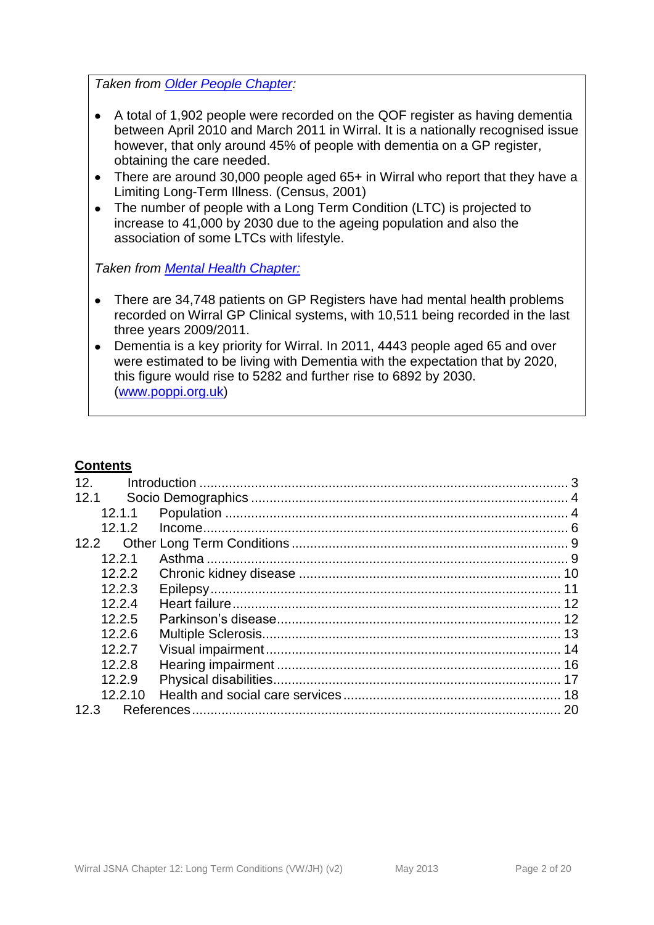*Taken from [Older People Chapter:](http://info.wirral.nhs.uk/document_uploads/Downloads/6.%20Older%20People%20July%202012%20FINAL%20FINAL.pdf)*

- A total of 1,902 people were recorded on the QOF register as having dementia between April 2010 and March 2011 in Wirral. It is a nationally recognised issue however, that only around 45% of people with dementia on a GP register, obtaining the care needed.
- There are around 30,000 people aged 65+ in Wirral who report that they have a  $\bullet$ Limiting Long-Term Illness. (Census, 2001)
- The number of people with a Long Term Condition (LTC) is projected to increase to 41,000 by 2030 due to the ageing population and also the association of some LTCs with lifestyle.

*Taken from [Mental Health Chapter:](http://info.wirral.nhs.uk/document_uploads/Downloads/Mental%20Health%20JSNA%20Final%20Version%20August%2012%20v3.pdf)*

- There are 34,748 patients on GP Registers have had mental health problems  $\bullet$ recorded on Wirral GP Clinical systems, with 10,511 being recorded in the last three years 2009/2011.
- Dementia is a key priority for Wirral. In 2011, 4443 people aged 65 and over were estimated to be living with Dementia with the expectation that by 2020, this figure would rise to 5282 and further rise to 6892 by 2030. [\(www.poppi.org.uk\)](http://www.poppi.org.uk/)

## **Contents**

| 12.               |  |
|-------------------|--|
| 12.1              |  |
| 12.1.1            |  |
| 12.1.2            |  |
| 12.2 <sub>1</sub> |  |
| 12.2.1            |  |
| 12.2.2            |  |
| 12.2.3            |  |
| 12.2.4            |  |
| 12.2.5            |  |
| 12.2.6            |  |
| 12.2.7            |  |
| 12.2.8            |  |
| 12.2.9            |  |
| 12.2.10           |  |
| 12.3              |  |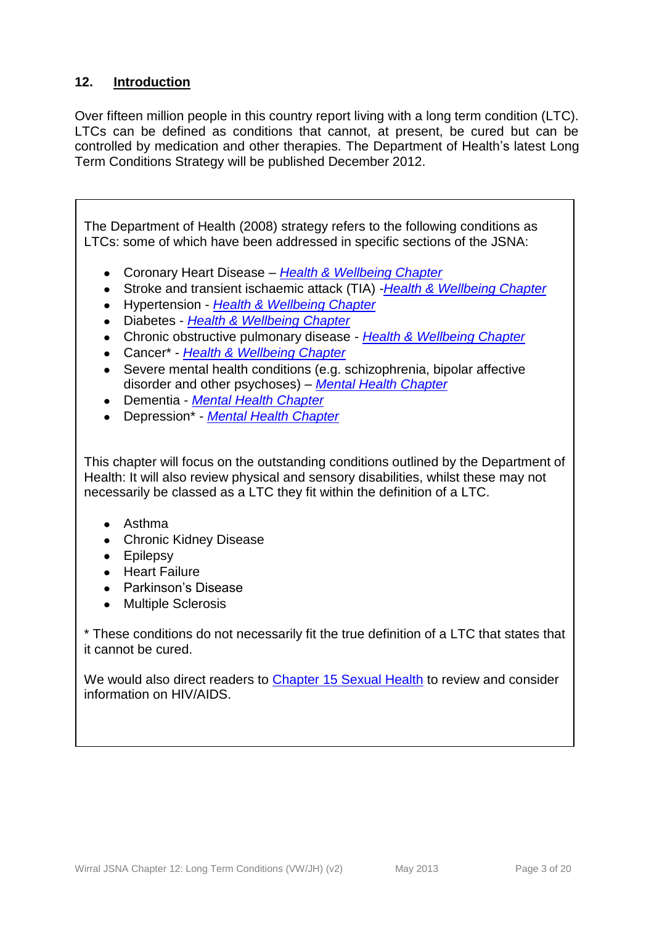# <span id="page-2-0"></span>**12. Introduction**

Over fifteen million people in this country report living with a long term condition (LTC). LTCs can be defined as conditions that cannot, at present, be cured but can be controlled by medication and other therapies. The Department of Health's latest Long Term Conditions Strategy will be published December 2012.

The Department of Health (2008) strategy refers to the following conditions as LTCs: some of which have been addressed in specific sections of the JSNA:

- Coronary Heart Disease *[Health & Wellbeing Chapter](http://info.wirral.nhs.uk/document_uploads/Downloads/Health%20and%20Wellbeing%20August%202012_67788.pdf)*
- Stroke and transient ischaemic attack (TIA) -*[Health & Wellbeing Chapter](http://info.wirral.nhs.uk/document_uploads/Downloads/Health%20and%20Wellbeing%20August%202012_67788.pdf)*
- Hypertension *[Health & Wellbeing Chapter](http://info.wirral.nhs.uk/document_uploads/Downloads/Health%20and%20Wellbeing%20August%202012_67788.pdf)*
- Diabetes *[Health & Wellbeing Chapter](http://info.wirral.nhs.uk/document_uploads/Downloads/Health%20and%20Wellbeing%20August%202012_67788.pdf)*
- Chronic obstructive pulmonary disease *[Health & Wellbeing Chapter](http://info.wirral.nhs.uk/document_uploads/Downloads/Health%20and%20Wellbeing%20August%202012_67788.pdf)*
- Cancer\* *[Health & Wellbeing Chapter](http://info.wirral.nhs.uk/document_uploads/Downloads/Health%20and%20Wellbeing%20August%202012_67788.pdf)*
- Severe mental health conditions (e.g. schizophrenia, bipolar affective disorder and other psychoses) – *[Mental Health Chapter](http://info.wirral.nhs.uk/document_uploads/Downloads/Mental%20Health%20JSNA%20Final%20Version%20August%2012%20v3.pdf)*
- Dementia *[Mental Health Chapter](http://info.wirral.nhs.uk/document_uploads/Downloads/Mental%20Health%20JSNA%20Final%20Version%20August%2012%20v3.pdf)*
- Depression\* *[Mental Health Chapter](http://info.wirral.nhs.uk/document_uploads/Downloads/Mental%20Health%20JSNA%20Final%20Version%20August%2012%20v3.pdf)*

This chapter will focus on the outstanding conditions outlined by the Department of Health: It will also review physical and sensory disabilities, whilst these may not necessarily be classed as a LTC they fit within the definition of a LTC.

- Asthma
- Chronic Kidney Disease
- Epilepsy
- Heart Failure
- Parkinson's Disease
- Multiple Sclerosis

\* These conditions do not necessarily fit the true definition of a LTC that states that it cannot be cured.

We would also direct readers to [Chapter 15 Sexual Health](http://info.wirral.nhs.uk/ourjsna/wirral2009-10/burdenofdisease/) to review and consider information on HIV/AIDS.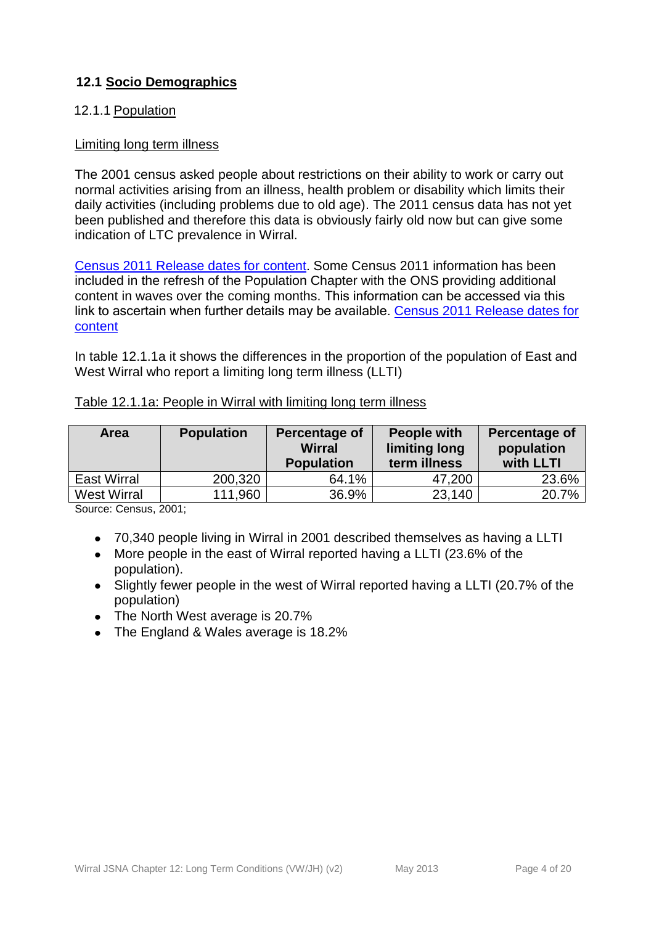# <span id="page-3-0"></span>**12.1 Socio Demographics**

## <span id="page-3-1"></span>12.1.1 Population

#### Limiting long term illness

The 2001 census asked people about restrictions on their ability to work or carry out normal activities arising from an illness, health problem or disability which limits their daily activities (including problems due to old age). The 2011 census data has not yet been published and therefore this data is obviously fairly old now but can give some indication of LTC prevalence in Wirral.

[Census 2011 Release dates for content](http://info.wirral.nhs.uk/document_uploads/Downloads/Briefing%20Note%20Timing%20of%20Census%20Releases%20to%20late%202013.%20July%202012.pdf). Some Census 2011 information has been included in the refresh of the Population Chapter with the ONS providing additional content in waves over the coming months. This information can be accessed via this link to ascertain when further details may be available. [Census 2011 Release dates for](http://info.wirral.nhs.uk/document_uploads/Downloads/Briefing%20Note%20Timing%20of%20Census%20Releases%20to%20late%202013.%20July%202012.pdf)  [content](http://info.wirral.nhs.uk/document_uploads/Downloads/Briefing%20Note%20Timing%20of%20Census%20Releases%20to%20late%202013.%20July%202012.pdf)

In table 12.1.1a it shows the differences in the proportion of the population of East and West Wirral who report a limiting long term illness (LLTI)

| <b>Area</b>        | <b>Population</b> | Percentage of<br><b>Wirral</b><br><b>Population</b> | <b>People with</b><br>limiting long<br>term illness | Percentage of<br>population<br>with LLTI |
|--------------------|-------------------|-----------------------------------------------------|-----------------------------------------------------|------------------------------------------|
| <b>East Wirral</b> | 200,320           | 64.1%                                               | 47,200                                              | 23.6%                                    |
| <b>West Wirral</b> | 111,960           | 36.9%                                               | 23,140                                              | 20.7%                                    |

#### Table 12.1.1a: People in Wirral with limiting long term illness

Source: Census, 2001;

- 70,340 people living in Wirral in 2001 described themselves as having a LLTI
- More people in the east of Wirral reported having a LLTI (23.6% of the population).
- Slightly fewer people in the west of Wirral reported having a LLTI (20.7% of the population)
- The North West average is 20.7%
- The England & Wales average is 18.2%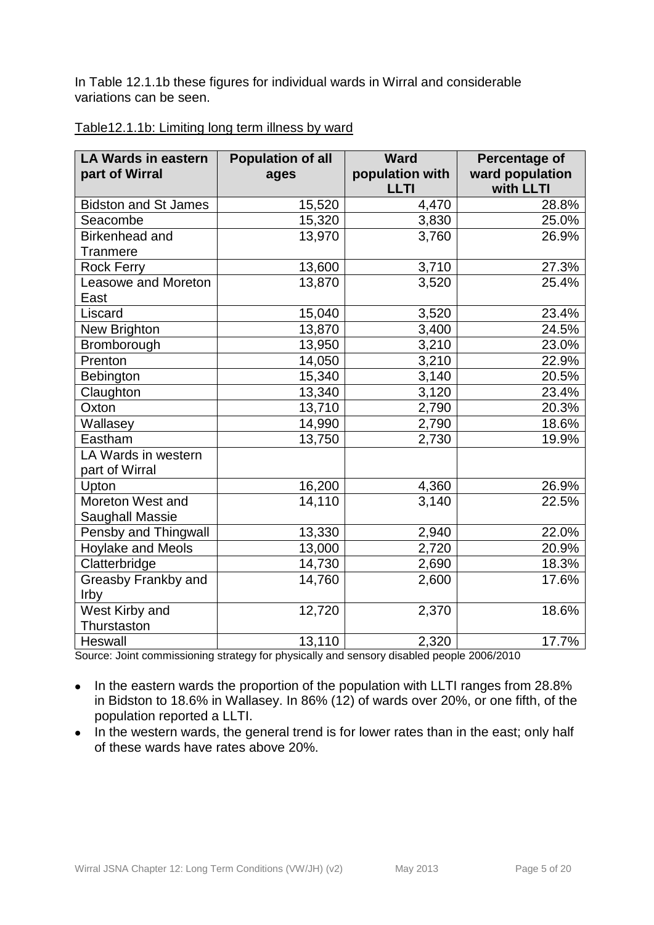In Table 12.1.1b these figures for individual wards in Wirral and considerable variations can be seen.

| <b>LA Wards in eastern</b><br>part of Wirral | <b>Population of all</b><br>ages | <b>Ward</b><br>population with | Percentage of<br>ward population |
|----------------------------------------------|----------------------------------|--------------------------------|----------------------------------|
|                                              |                                  | <b>LLTI</b>                    | with LLTI                        |
| <b>Bidston and St James</b>                  | 15,520                           | 4,470                          | 28.8%                            |
| Seacombe                                     | 15,320                           | 3,830                          | 25.0%                            |
| Birkenhead and                               | 13,970                           | 3,760                          | 26.9%                            |
| <b>Tranmere</b>                              |                                  |                                |                                  |
| <b>Rock Ferry</b>                            | 13,600                           | 3,710                          | 27.3%                            |
| Leasowe and Moreton                          | 13,870                           | 3,520                          | 25.4%                            |
| East                                         |                                  |                                |                                  |
| Liscard                                      | 15,040                           | 3,520                          | 23.4%                            |
| New Brighton                                 | 13,870                           | 3,400                          | 24.5%                            |
| Bromborough                                  | 13,950                           | 3,210                          | 23.0%                            |
| Prenton                                      | 14,050                           | 3,210                          | 22.9%                            |
| Bebington                                    | 15,340                           | 3,140                          | 20.5%                            |
| Claughton                                    | 13,340                           | 3,120                          | 23.4%                            |
| Oxton                                        | 13,710                           | 2,790                          | 20.3%                            |
| Wallasey                                     | 14,990                           | 2,790                          | 18.6%                            |
| Eastham                                      | 13,750                           | 2,730                          | 19.9%                            |
| LA Wards in western                          |                                  |                                |                                  |
| part of Wirral                               |                                  |                                |                                  |
| Upton                                        | 16,200                           | 4,360                          | 26.9%                            |
| Moreton West and                             | 14,110                           | 3,140                          | 22.5%                            |
| <b>Saughall Massie</b>                       |                                  |                                |                                  |
| Pensby and Thingwall                         | 13,330                           | 2,940                          | 22.0%                            |
| Hoylake and Meols                            | 13,000                           | 2,720                          | 20.9%                            |
| Clatterbridge                                | 14,730                           | 2,690                          | 18.3%                            |
| Greasby Frankby and                          | 14,760                           | 2,600                          | 17.6%                            |
| Irby                                         |                                  |                                |                                  |
| West Kirby and                               | 12,720                           | 2,370                          | 18.6%                            |
| Thurstaston                                  |                                  |                                |                                  |
| Heswall                                      | 13,110                           | 2,320                          | $\overline{17.7\%}$              |

## Table12.1.1b: Limiting long term illness by ward

Source: Joint commissioning strategy for physically and sensory disabled people 2006/2010

- In the eastern wards the proportion of the population with LLTI ranges from 28.8%  $\bullet$ in Bidston to 18.6% in Wallasey. In 86% (12) of wards over 20%, or one fifth, of the population reported a LLTI.
- In the western wards, the general trend is for lower rates than in the east; only half  $\bullet$ of these wards have rates above 20%.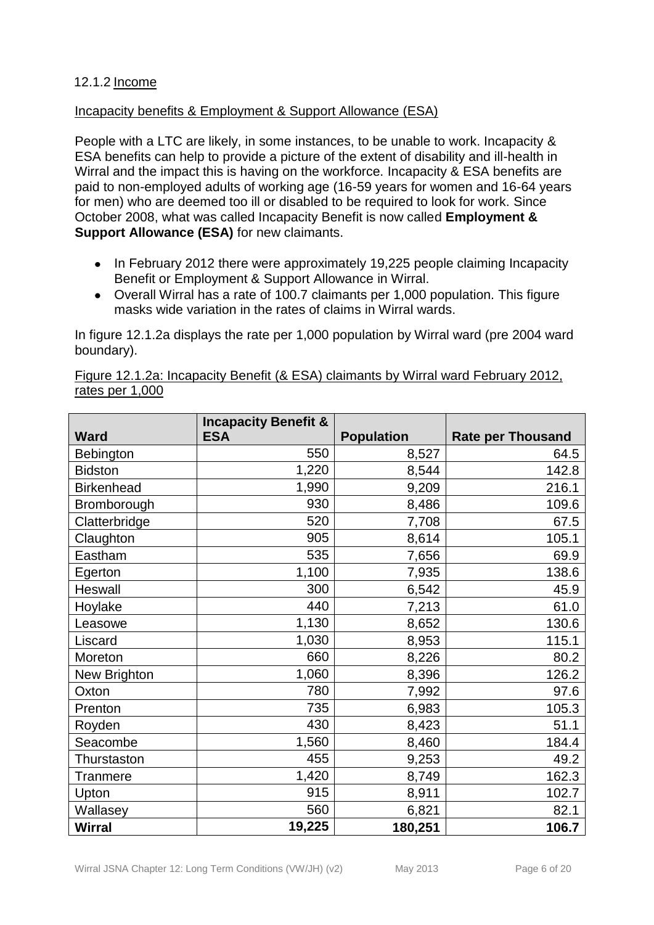## <span id="page-5-0"></span>12.1.2 Income

## Incapacity benefits & Employment & Support Allowance (ESA)

People with a LTC are likely, in some instances, to be unable to work. Incapacity & ESA benefits can help to provide a picture of the extent of disability and ill-health in Wirral and the impact this is having on the workforce. Incapacity & ESA benefits are paid to non-employed adults of working age (16-59 years for women and 16-64 years for men) who are deemed too ill or disabled to be required to look for work. Since October 2008, what was called Incapacity Benefit is now called **Employment & Support Allowance (ESA)** for new claimants.

- In February 2012 there were approximately 19,225 people claiming Incapacity Benefit or Employment & Support Allowance in Wirral.
- Overall Wirral has a rate of 100.7 claimants per 1,000 population. This figure masks wide variation in the rates of claims in Wirral wards.

In figure 12.1.2a displays the rate per 1,000 population by Wirral ward (pre 2004 ward boundary).

|                   | <b>Incapacity Benefit &amp;</b> |                   |                          |
|-------------------|---------------------------------|-------------------|--------------------------|
| <b>Ward</b>       | <b>ESA</b>                      | <b>Population</b> | <b>Rate per Thousand</b> |
| Bebington         | 550                             | 8,527             | 64.5                     |
| <b>Bidston</b>    | 1,220                           | 8,544             | 142.8                    |
| <b>Birkenhead</b> | 1,990                           | 9,209             | 216.1                    |
| Bromborough       | 930                             | 8,486             | 109.6                    |
| Clatterbridge     | 520                             | 7,708             | 67.5                     |
| Claughton         | 905                             | 8,614             | 105.1                    |
| Eastham           | 535                             | 7,656             | 69.9                     |
| Egerton           | 1,100                           | 7,935             | 138.6                    |
| Heswall           | 300                             | 6,542             | 45.9                     |
| Hoylake           | 440                             | 7,213             | 61.0                     |
| Leasowe           | 1,130                           | 8,652             | 130.6                    |
| Liscard           | 1,030                           | 8,953             | 115.1                    |
| Moreton           | 660                             | 8,226             | 80.2                     |
| New Brighton      | 1,060                           | 8,396             | 126.2                    |
| Oxton             | 780                             | 7,992             | 97.6                     |
| Prenton           | 735                             | 6,983             | 105.3                    |
| Royden            | 430                             | 8,423             | 51.1                     |
| Seacombe          | 1,560                           | 8,460             | 184.4                    |
| Thurstaston       | 455                             | 9,253             | 49.2                     |
| Tranmere          | 1,420                           | 8,749             | 162.3                    |
| Upton             | 915                             | 8,911             | 102.7                    |
| Wallasey          | 560                             | 6,821             | 82.1                     |
| <b>Wirral</b>     | 19,225                          | 180,251           | 106.7                    |

Figure 12.1.2a: Incapacity Benefit (& ESA) claimants by Wirral ward February 2012, rates per 1,000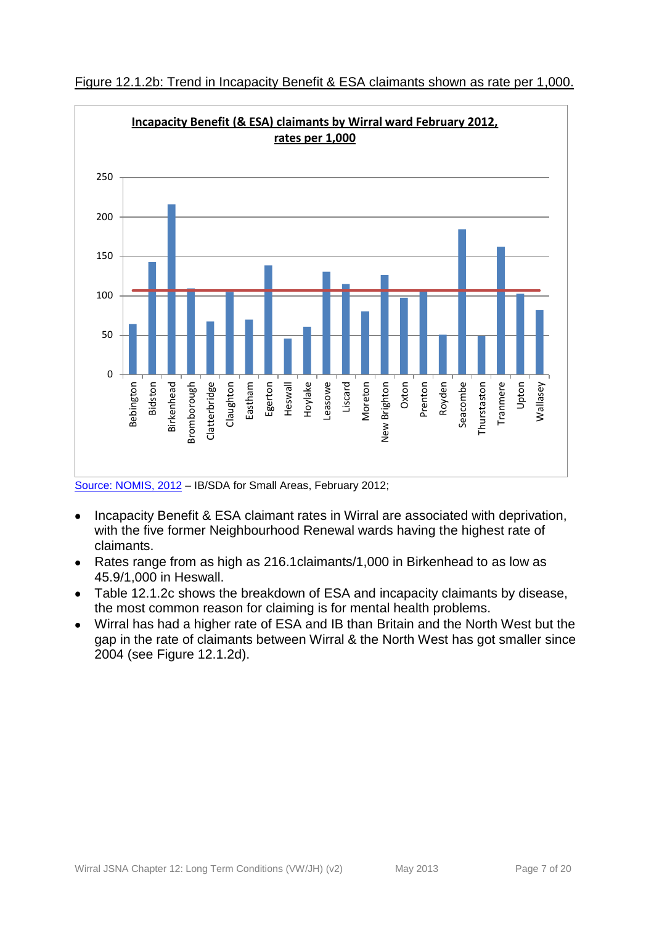

Figure 12.1.2b: Trend in Incapacity Benefit & ESA claimants shown as rate per 1,000.

Incapacity Benefit & ESA claimant rates in Wirral are associated with deprivation,  $\bullet$ with the five former Neighbourhood Renewal wards having the highest rate of claimants.

- Rates range from as high as 216.1claimants/1,000 in Birkenhead to as low as  $\bullet$ 45.9/1,000 in Heswall.
- Table 12.1.2c shows the breakdown of ESA and incapacity claimants by disease,  $\bullet$ the most common reason for claiming is for mental health problems.
- Wirral has had a higher rate of ESA and IB than Britain and the North West but the gap in the rate of claimants between Wirral & the North West has got smaller since 2004 (see Figure 12.1.2d).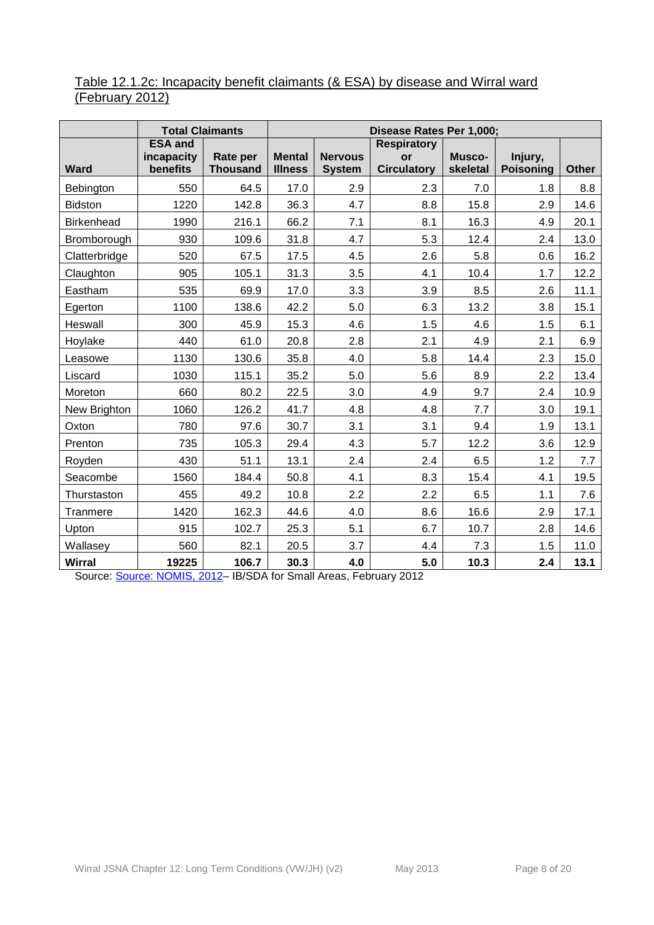# Table 12.1.2c: Incapacity benefit claimants (& ESA) by disease and Wirral ward (February 2012)

|                | <b>Total Claimants</b>                   |                             | Disease Rates Per 1,000;        |                                 |                                                |                    |                             |              |
|----------------|------------------------------------------|-----------------------------|---------------------------------|---------------------------------|------------------------------------------------|--------------------|-----------------------------|--------------|
| Ward           | <b>ESA and</b><br>incapacity<br>benefits | Rate per<br><b>Thousand</b> | <b>Mental</b><br><b>Illness</b> | <b>Nervous</b><br><b>System</b> | <b>Respiratory</b><br>or<br><b>Circulatory</b> | Musco-<br>skeletal | Injury,<br><b>Poisoning</b> | <b>Other</b> |
| Bebington      | 550                                      | 64.5                        | 17.0                            | 2.9                             | 2.3                                            | 7.0                | 1.8                         | 8.8          |
| <b>Bidston</b> | 1220                                     | 142.8                       | 36.3                            | 4.7                             | 8.8                                            | 15.8               | 2.9                         | 14.6         |
| Birkenhead     | 1990                                     | 216.1                       | 66.2                            | 7.1                             | 8.1                                            | 16.3               | 4.9                         | 20.1         |
| Bromborough    | 930                                      | 109.6                       | 31.8                            | 4.7                             | 5.3                                            | 12.4               | 2.4                         | 13.0         |
| Clatterbridge  | 520                                      | 67.5                        | 17.5                            | 4.5                             | 2.6                                            | 5.8                | 0.6                         | 16.2         |
| Claughton      | 905                                      | 105.1                       | 31.3                            | 3.5                             | 4.1                                            | 10.4               | 1.7                         | 12.2         |
| Eastham        | 535                                      | 69.9                        | 17.0                            | 3.3                             | 3.9                                            | 8.5                | 2.6                         | 11.1         |
| Egerton        | 1100                                     | 138.6                       | 42.2                            | 5.0                             | 6.3                                            | 13.2               | 3.8                         | 15.1         |
| Heswall        | 300                                      | 45.9                        | 15.3                            | 4.6                             | 1.5                                            | 4.6                | 1.5                         | 6.1          |
| Hoylake        | 440                                      | 61.0                        | 20.8                            | 2.8                             | 2.1                                            | 4.9                | 2.1                         | 6.9          |
| Leasowe        | 1130                                     | 130.6                       | 35.8                            | 4.0                             | 5.8                                            | 14.4               | 2.3                         | 15.0         |
| Liscard        | 1030                                     | 115.1                       | 35.2                            | 5.0                             | 5.6                                            | 8.9                | 2.2                         | 13.4         |
| Moreton        | 660                                      | 80.2                        | 22.5                            | 3.0                             | 4.9                                            | 9.7                | 2.4                         | 10.9         |
| New Brighton   | 1060                                     | 126.2                       | 41.7                            | 4.8                             | 4.8                                            | 7.7                | 3.0                         | 19.1         |
| Oxton          | 780                                      | 97.6                        | 30.7                            | 3.1                             | 3.1                                            | 9.4                | 1.9                         | 13.1         |
| Prenton        | 735                                      | 105.3                       | 29.4                            | 4.3                             | 5.7                                            | 12.2               | 3.6                         | 12.9         |
| Royden         | 430                                      | 51.1                        | 13.1                            | 2.4                             | 2.4                                            | 6.5                | 1.2                         | 7.7          |
| Seacombe       | 1560                                     | 184.4                       | 50.8                            | 4.1                             | 8.3                                            | 15.4               | 4.1                         | 19.5         |
| Thurstaston    | 455                                      | 49.2                        | 10.8                            | 2.2                             | 2.2                                            | 6.5                | 1.1                         | 7.6          |
| Tranmere       | 1420                                     | 162.3                       | 44.6                            | 4.0                             | 8.6                                            | 16.6               | 2.9                         | 17.1         |
| Upton          | 915                                      | 102.7                       | 25.3                            | 5.1                             | 6.7                                            | 10.7               | 2.8                         | 14.6         |
| Wallasey       | 560                                      | 82.1                        | 20.5                            | 3.7                             | 4.4                                            | 7.3                | 1.5                         | 11.0         |
| <b>Wirral</b>  | 19225                                    | 106.7                       | 30.3                            | 4.0                             | 5.0                                            | 10.3               | 2.4                         | 13.1         |

Source: [Source: NOMIS, 2012–](https://www.nomisweb.co.uk/) IB/SDA for Small Areas, February 2012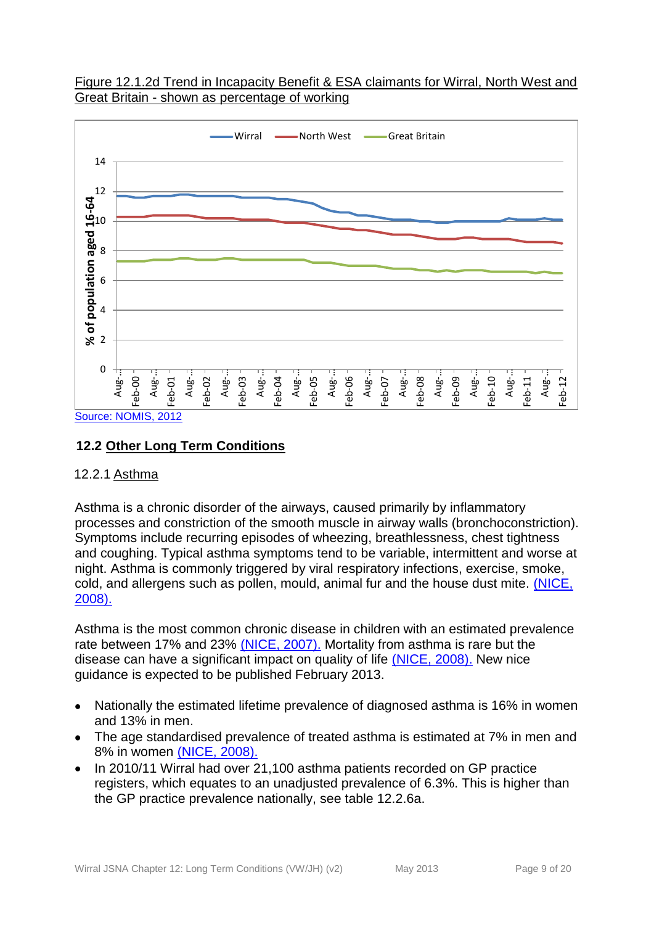



# <span id="page-8-0"></span>**12.2 Other Long Term Conditions**

#### <span id="page-8-1"></span>12.2.1 Asthma

Asthma is a chronic disorder of the airways, caused primarily by inflammatory processes and constriction of the smooth muscle in airway walls (bronchoconstriction). Symptoms include recurring episodes of wheezing, breathlessness, chest tightness and coughing. Typical asthma symptoms tend to be variable, intermittent and worse at night. Asthma is commonly triggered by viral respiratory infections, exercise, smoke, cold, and allergens such as pollen, mould, animal fur and the house dust mite. [\(NICE,](http://publications.nice.org.uk/inhaled-corticosteroids-for-the-treatment-of-chronic-asthma-in-adults-and-in-children-aged-12-years-ta138/clinical-need-and-practice)  [2008\).](http://publications.nice.org.uk/inhaled-corticosteroids-for-the-treatment-of-chronic-asthma-in-adults-and-in-children-aged-12-years-ta138/clinical-need-and-practice)

Asthma is the most common chronic disease in children with an estimated prevalence rate between 17% and 23% [\(NICE, 2007\).](http://www.nice.org.uk/TA131) Mortality from asthma is rare but the disease can have a significant impact on quality of life [\(NICE, 2008\).](http://publications.nice.org.uk/inhaled-corticosteroids-for-the-treatment-of-chronic-asthma-in-adults-and-in-children-aged-12-years-ta138/clinical-need-and-practice) New nice guidance is expected to be published February 2013.

- Nationally the estimated lifetime prevalence of diagnosed asthma is 16% in women and 13% in men.
- The age standardised prevalence of treated asthma is estimated at 7% in men and 8% in women [\(NICE, 2008\).](http://publications.nice.org.uk/inhaled-corticosteroids-for-the-treatment-of-chronic-asthma-in-adults-and-in-children-aged-12-years-ta138/clinical-need-and-practice)
- In 2010/11 Wirral had over 21,100 asthma patients recorded on GP practice registers, which equates to an unadjusted prevalence of 6.3%. This is higher than the GP practice prevalence nationally, see table 12.2.6a.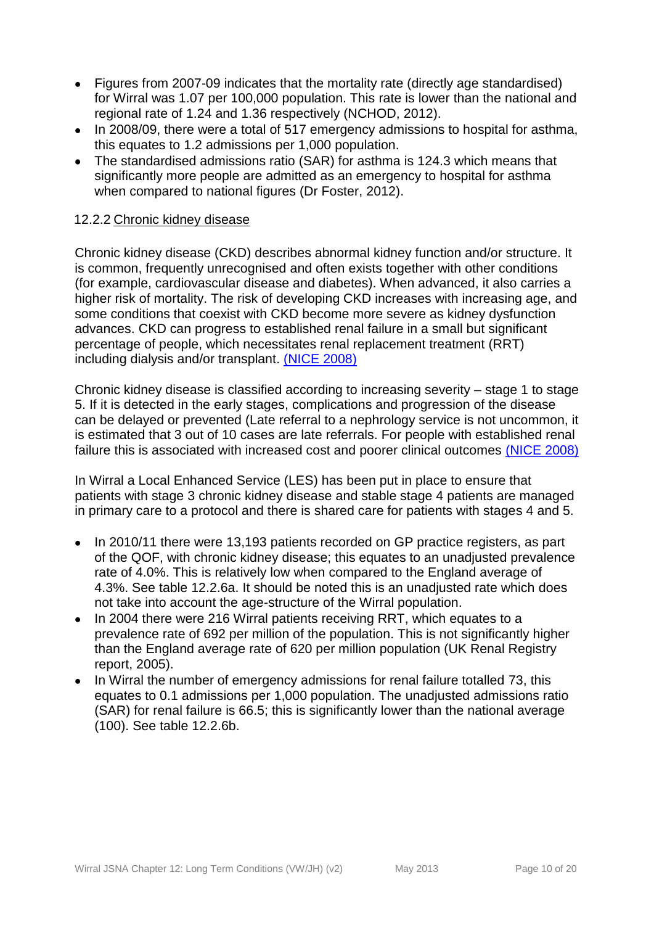- Figures from 2007-09 indicates that the mortality rate (directly age standardised)  $\bullet$ for Wirral was 1.07 per 100,000 population. This rate is lower than the national and regional rate of 1.24 and 1.36 respectively (NCHOD, 2012).
- In 2008/09, there were a total of 517 emergency admissions to hospital for asthma,  $\bullet$ this equates to 1.2 admissions per 1,000 population.
- The standardised admissions ratio (SAR) for asthma is 124.3 which means that significantly more people are admitted as an emergency to hospital for asthma when compared to national figures (Dr Foster, 2012).

## <span id="page-9-0"></span>12.2.2 Chronic kidney disease

Chronic kidney disease (CKD) describes abnormal kidney function and/or structure. It is common, frequently unrecognised and often exists together with other conditions (for example, cardiovascular disease and diabetes). When advanced, it also carries a higher risk of mortality. The risk of developing CKD increases with increasing age, and some conditions that coexist with CKD become more severe as kidney dysfunction advances. CKD can progress to established renal failure in a small but significant percentage of people, which necessitates renal replacement treatment (RRT) including dialysis and/or transplant. [\(NICE 2008\)](http://publications.nice.org.uk/chronic-kidney-disease-cg73)

Chronic kidney disease is classified according to increasing severity – stage 1 to stage 5. If it is detected in the early stages, complications and progression of the disease can be delayed or prevented (Late referral to a nephrology service is not uncommon, it is estimated that 3 out of 10 cases are late referrals. For people with established renal failure this is associated with increased cost and poorer clinical outcomes [\(NICE 2008\)](http://publications.nice.org.uk/chronic-kidney-disease-cg73)

In Wirral a Local Enhanced Service (LES) has been put in place to ensure that patients with stage 3 chronic kidney disease and stable stage 4 patients are managed in primary care to a protocol and there is shared care for patients with stages 4 and 5.

- In 2010/11 there were 13,193 patients recorded on GP practice registers, as part  $\bullet$ of the QOF, with chronic kidney disease; this equates to an unadjusted prevalence rate of 4.0%. This is relatively low when compared to the England average of 4.3%. See table 12.2.6a. It should be noted this is an unadjusted rate which does not take into account the age-structure of the Wirral population.
- In 2004 there were 216 Wirral patients receiving RRT, which equates to a  $\bullet$ prevalence rate of 692 per million of the population. This is not significantly higher than the England average rate of 620 per million population (UK Renal Registry report, 2005).
- In Wirral the number of emergency admissions for renal failure totalled 73, this equates to 0.1 admissions per 1,000 population. The unadjusted admissions ratio (SAR) for renal failure is 66.5; this is significantly lower than the national average (100). See table 12.2.6b.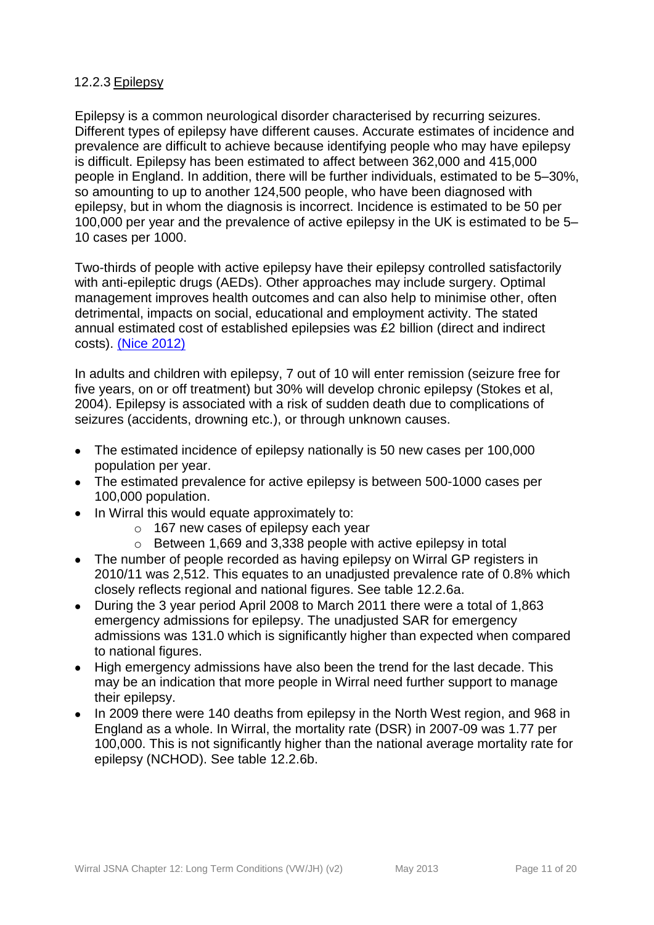## <span id="page-10-0"></span>12.2.3 Epilepsy

Epilepsy is a common neurological disorder characterised by recurring seizures. Different types of epilepsy have different causes. Accurate estimates of incidence and prevalence are difficult to achieve because identifying people who may have epilepsy is difficult. Epilepsy has been estimated to affect between 362,000 and 415,000 people in England. In addition, there will be further individuals, estimated to be 5–30%, so amounting to up to another 124,500 people, who have been diagnosed with epilepsy, but in whom the diagnosis is incorrect. Incidence is estimated to be 50 per 100,000 per year and the prevalence of active epilepsy in the UK is estimated to be 5– 10 cases per 1000.

Two-thirds of people with active epilepsy have their epilepsy controlled satisfactorily with anti-epileptic drugs (AEDs). Other approaches may include surgery. Optimal management improves health outcomes and can also help to minimise other, often detrimental, impacts on social, educational and employment activity. The stated annual estimated cost of established epilepsies was £2 billion (direct and indirect costs). [\(Nice 2012\)](http://publications.nice.org.uk/the-epilepsies-the-diagnosis-and-management-of-the-epilepsies-in-adults-and-children-in-primary-and-cg137)

In adults and children with epilepsy, 7 out of 10 will enter remission (seizure free for five years, on or off treatment) but 30% will develop chronic epilepsy (Stokes et al, 2004). Epilepsy is associated with a risk of sudden death due to complications of seizures (accidents, drowning etc.), or through unknown causes.

- The estimated incidence of epilepsy nationally is 50 new cases per 100,000  $\bullet$ population per year.
- The estimated prevalence for active epilepsy is between 500-1000 cases per  $\bullet$ 100,000 population.
- In Wirral this would equate approximately to:  $\bullet$ 
	- o 167 new cases of epilepsy each year
	- o Between 1,669 and 3,338 people with active epilepsy in total
- The number of people recorded as having epilepsy on Wirral GP registers in 2010/11 was 2,512. This equates to an unadjusted prevalence rate of 0.8% which closely reflects regional and national figures. See table 12.2.6a.
- $\bullet$ During the 3 year period April 2008 to March 2011 there were a total of 1,863 emergency admissions for epilepsy. The unadjusted SAR for emergency admissions was 131.0 which is significantly higher than expected when compared to national figures.
- High emergency admissions have also been the trend for the last decade. This  $\bullet$ may be an indication that more people in Wirral need further support to manage their epilepsy.
- $\bullet$ In 2009 there were 140 deaths from epilepsy in the North West region, and 968 in England as a whole. In Wirral, the mortality rate (DSR) in 2007-09 was 1.77 per 100,000. This is not significantly higher than the national average mortality rate for epilepsy (NCHOD). See table 12.2.6b.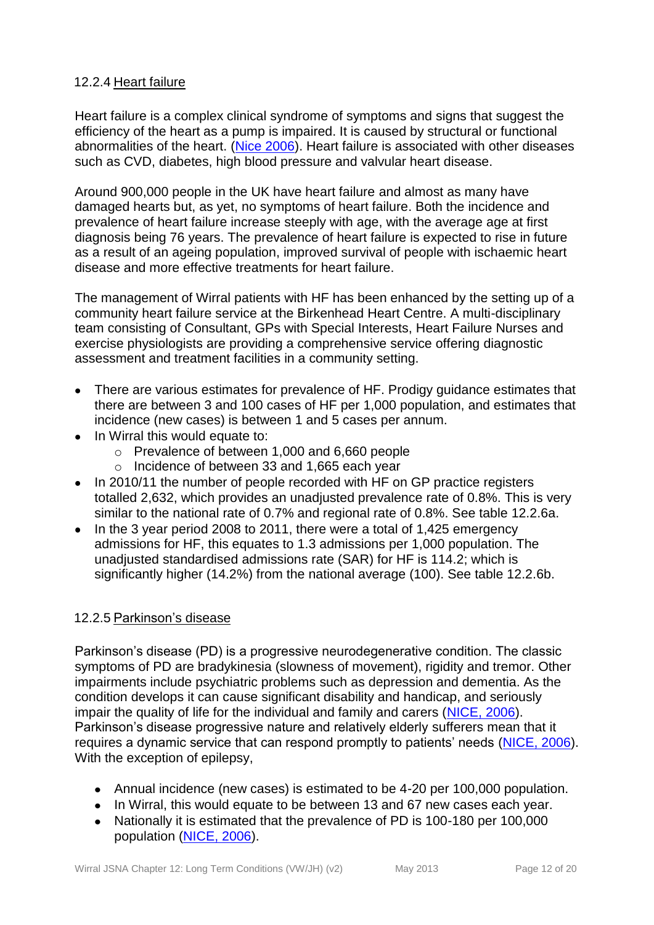## <span id="page-11-0"></span>12.2.4 Heart failure

Heart failure is a complex clinical syndrome of symptoms and signs that suggest the efficiency of the heart as a pump is impaired. It is caused by structural or functional abnormalities of the heart. [\(Nice 2006\)](http://publications.nice.org.uk/chronic-heart-failure-cg108). Heart failure is associated with other diseases such as CVD, diabetes, high blood pressure and valvular heart disease.

Around 900,000 people in the UK have heart failure and almost as many have damaged hearts but, as yet, no symptoms of heart failure. Both the incidence and prevalence of heart failure increase steeply with age, with the average age at first diagnosis being 76 years. The prevalence of heart failure is expected to rise in future as a result of an ageing population, improved survival of people with ischaemic heart disease and more effective treatments for heart failure.

The management of Wirral patients with HF has been enhanced by the setting up of a community heart failure service at the Birkenhead Heart Centre. A multi-disciplinary team consisting of Consultant, GPs with Special Interests, Heart Failure Nurses and exercise physiologists are providing a comprehensive service offering diagnostic assessment and treatment facilities in a community setting.

- There are various estimates for prevalence of HF. Prodigy guidance estimates that  $\bullet$ there are between 3 and 100 cases of HF per 1,000 population, and estimates that incidence (new cases) is between 1 and 5 cases per annum.
- In Wirral this would equate to:
	- o Prevalence of between 1,000 and 6,660 people
	- o Incidence of between 33 and 1,665 each year
- In 2010/11 the number of people recorded with HF on GP practice registers  $\bullet$ totalled 2,632, which provides an unadjusted prevalence rate of 0.8%. This is very similar to the national rate of 0.7% and regional rate of 0.8%. See table 12.2.6a.
- In the 3 year period 2008 to 2011, there were a total of 1,425 emergency  $\bullet$ admissions for HF, this equates to 1.3 admissions per 1,000 population. The unadjusted standardised admissions rate (SAR) for HF is 114.2; which is significantly higher (14.2%) from the national average (100). See table 12.2.6b.

#### <span id="page-11-1"></span>12.2.5 Parkinson's disease

Parkinson's disease (PD) is a progressive neurodegenerative condition. The classic symptoms of PD are bradykinesia (slowness of movement), rigidity and tremor. Other impairments include psychiatric problems such as depression and dementia. As the condition develops it can cause significant disability and handicap, and seriously impair the quality of life for the individual and family and carers [\(NICE, 2006\)](http://publications.nice.org.uk/parkinsons-disease-cg35). Parkinson's disease progressive nature and relatively elderly sufferers mean that it requires a dynamic service that can respond promptly to patients' needs [\(NICE,](http://publications.nice.org.uk/parkinsons-disease-cg35) 2006). With the exception of epilepsy,

- Annual incidence (new cases) is estimated to be 4-20 per 100,000 population.
- In Wirral, this would equate to be between 13 and 67 new cases each year.
- Nationally it is estimated that the prevalence of PD is 100-180 per 100,000 population [\(NICE, 2006\)](http://publications.nice.org.uk/parkinsons-disease-cg35).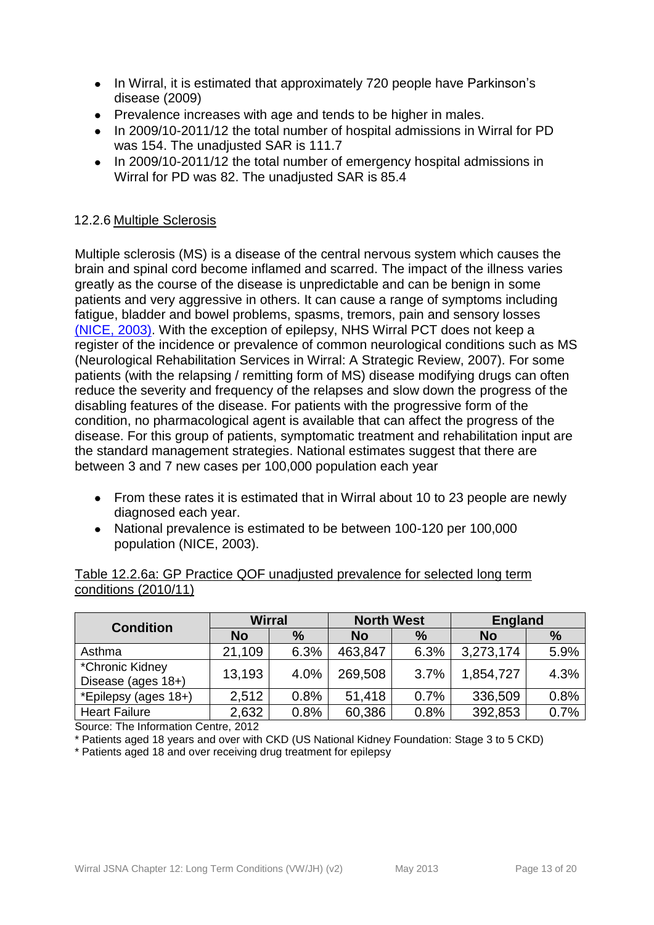- In Wirral, it is estimated that approximately 720 people have Parkinson's disease (2009)
- Prevalence increases with age and tends to be higher in males.
- In 2009/10-2011/12 the total number of hospital admissions in Wirral for PD was 154. The unadiusted SAR is 111.7
- In 2009/10-2011/12 the total number of emergency hospital admissions in Wirral for PD was 82. The unadjusted SAR is 85.4

## <span id="page-12-0"></span>12.2.6 Multiple Sclerosis

Multiple sclerosis (MS) is a disease of the central nervous system which causes the brain and spinal cord become inflamed and scarred. The impact of the illness varies greatly as the course of the disease is unpredictable and can be benign in some patients and very aggressive in others. It can cause a range of symptoms including fatigue, bladder and bowel problems, spasms, tremors, pain and sensory losses [\(NICE, 2003\).](http://guidance.nice.org.uk/CG8) With the exception of epilepsy, NHS Wirral PCT does not keep a register of the incidence or prevalence of common neurological conditions such as MS (Neurological Rehabilitation Services in Wirral: A Strategic Review, 2007). For some patients (with the relapsing / remitting form of MS) disease modifying drugs can often reduce the severity and frequency of the relapses and slow down the progress of the disabling features of the disease. For patients with the progressive form of the condition, no pharmacological agent is available that can affect the progress of the disease. For this group of patients, symptomatic treatment and rehabilitation input are the standard management strategies. National estimates suggest that there are between 3 and 7 new cases per 100,000 population each year

- From these rates it is estimated that in Wirral about 10 to 23 people are newly diagnosed each year.
- National prevalence is estimated to be between 100-120 per 100,000 population (NICE, 2003).

#### Table 12.2.6a: GP Practice QOF unadjusted prevalence for selected long term conditions (2010/11)

| <b>Condition</b>                      | <b>Wirral</b> |               | <b>North West</b> |               | <b>England</b> |      |  |
|---------------------------------------|---------------|---------------|-------------------|---------------|----------------|------|--|
|                                       | <b>No</b>     | $\frac{0}{0}$ | <b>No</b>         | $\frac{0}{0}$ | <b>No</b>      | $\%$ |  |
| Asthma                                | 21,109        | 6.3%          | 463,847           | 6.3%          | 3,273,174      | 5.9% |  |
| *Chronic Kidney<br>Disease (ages 18+) | 13,193        | 4.0%          | 269,508           | 3.7%          | 1,854,727      | 4.3% |  |
| *Epilepsy (ages 18+)                  | 2,512         | 0.8%          | 51,418            | 0.7%          | 336,509        | 0.8% |  |
| <b>Heart Failure</b>                  | 2,632         | 0.8%          | 60,386            | 0.8%          | 392,853        | 0.7% |  |

Source: The Information Centre, 2012

\* Patients aged 18 years and over with CKD (US National Kidney Foundation: Stage 3 to 5 CKD)

\* Patients aged 18 and over receiving drug treatment for epilepsy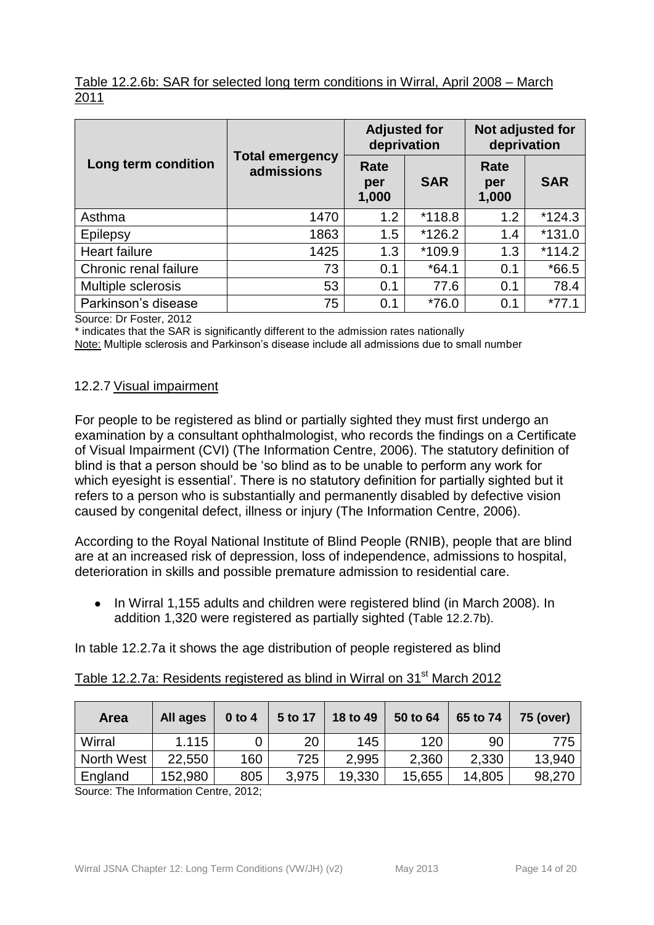# Table 12.2.6b: SAR for selected long term conditions in Wirral, April 2008 – March 2011

|                       |                                      | <b>Adjusted for</b><br>deprivation |            | Not adjusted for<br>deprivation |            |  |
|-----------------------|--------------------------------------|------------------------------------|------------|---------------------------------|------------|--|
| Long term condition   | <b>Total emergency</b><br>admissions | Rate<br>per<br>1,000               | <b>SAR</b> | Rate<br>per<br>1,000            | <b>SAR</b> |  |
| Asthma                | 1470                                 | 1.2                                | $*118.8$   | 1.2                             | $*124.3$   |  |
| Epilepsy              | 1863                                 | 1.5                                | $*126.2$   | 1.4                             | $*131.0$   |  |
| Heart failure         | 1425                                 | 1.3                                | *109.9     | 1.3                             | $*114.2$   |  |
| Chronic renal failure | 73                                   | 0.1                                | $*64.1$    | 0.1                             | $*66.5$    |  |
| Multiple sclerosis    | 53                                   | 0.1                                | 77.6       | 0.1                             | 78.4       |  |
| Parkinson's disease   | 75                                   | 0.1                                | $*76.0$    | 0.1                             | $*77.1$    |  |

Source: Dr Foster, 2012

\* indicates that the SAR is significantly different to the admission rates nationally

Note: Multiple sclerosis and Parkinson's disease include all admissions due to small number

#### <span id="page-13-0"></span>12.2.7 Visual impairment

For people to be registered as blind or partially sighted they must first undergo an examination by a consultant ophthalmologist, who records the findings on a Certificate of Visual Impairment (CVI) (The Information Centre, 2006). The statutory definition of blind is that a person should be 'so blind as to be unable to perform any work for which eyesight is essential'. There is no statutory definition for partially sighted but it refers to a person who is substantially and permanently disabled by defective vision caused by congenital defect, illness or injury (The Information Centre, 2006).

According to the Royal National Institute of Blind People (RNIB), people that are blind are at an increased risk of depression, loss of independence, admissions to hospital, deterioration in skills and possible premature admission to residential care.

In Wirral 1,155 adults and children were registered blind (in March 2008). In  $\bullet$ addition 1,320 were registered as partially sighted (Table 12.2.7b).

In table 12.2.7a it shows the age distribution of people registered as blind

| <b>Area</b> | All ages | $0$ to 4 | 5 to 17 | 18 to 49 | 50 to 64 | 65 to 74 | <b>75 (over)</b> |
|-------------|----------|----------|---------|----------|----------|----------|------------------|
| Wirral      | 1.115    |          | 20      | 145      | 120      | 90       | 775              |
| North West  | 22,550   | 160      | 725     | 2,995    | 2,360    | 2,330    | 13,940           |
| England     | 152,980  | 805      | 3,975   | 19,330   | 15,655   | 14,805   | 98,270           |

## Table 12.2.7a: Residents registered as blind in Wirral on 31<sup>st</sup> March 2012

Source: The Information Centre, 2012;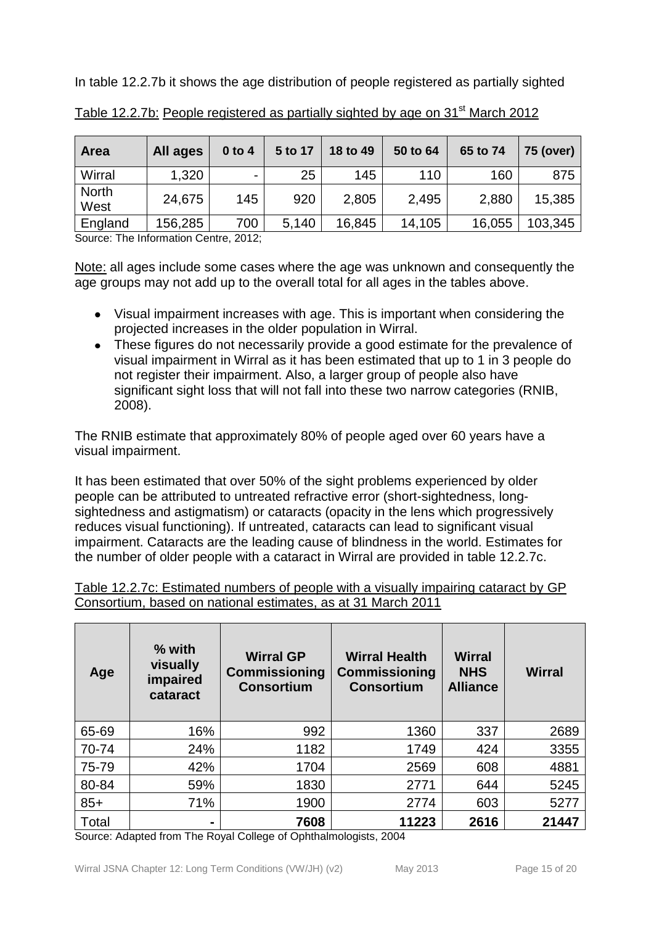In table 12.2.7b it shows the age distribution of people registered as partially sighted

| Area                 | All ages | $0$ to 4                 | 5 to 17 | 18 to 49 | 50 to 64 | 65 to 74 | 75 (over) |
|----------------------|----------|--------------------------|---------|----------|----------|----------|-----------|
| Wirral               | 1,320    | $\overline{\phantom{0}}$ | 25      | 145      | 110      | 160      | 875       |
| <b>North</b><br>West | 24,675   | 145                      | 920     | 2,805    | 2,495    | 2,880    | 15,385    |
| England              | 156,285  | 700                      | 5,140   | 16,845   | 14,105   | 16,055   | 103,345   |

Table 12.2.7b: People registered as partially sighted by age on 31<sup>st</sup> March 2012

Source: The Information Centre, 2012;

Note: all ages include some cases where the age was unknown and consequently the age groups may not add up to the overall total for all ages in the tables above.

- Visual impairment increases with age. This is important when considering the projected increases in the older population in Wirral.
- These figures do not necessarily provide a good estimate for the prevalence of visual impairment in Wirral as it has been estimated that up to 1 in 3 people do not register their impairment. Also, a larger group of people also have significant sight loss that will not fall into these two narrow categories (RNIB, 2008).

The RNIB estimate that approximately 80% of people aged over 60 years have a visual impairment.

It has been estimated that over 50% of the sight problems experienced by older people can be attributed to untreated refractive error (short-sightedness, longsightedness and astigmatism) or cataracts (opacity in the lens which progressively reduces visual functioning). If untreated, cataracts can lead to significant visual impairment. Cataracts are the leading cause of blindness in the world. Estimates for the number of older people with a cataract in Wirral are provided in table 12.2.7c.

| Table 12.2.7c: Estimated numbers of people with a visually impairing cataract by GP |  |  |  |  |  |
|-------------------------------------------------------------------------------------|--|--|--|--|--|
| Consortium, based on national estimates, as at 31 March 2011                        |  |  |  |  |  |

| Age   | $%$ with<br>visually<br>impaired<br>cataract | <b>Wirral GP</b><br><b>Commissioning</b><br><b>Consortium</b> | <b>Wirral Health</b><br><b>Commissioning</b><br><b>Consortium</b> | <b>Wirral</b><br><b>NHS</b><br><b>Alliance</b> | <b>Wirral</b> |
|-------|----------------------------------------------|---------------------------------------------------------------|-------------------------------------------------------------------|------------------------------------------------|---------------|
| 65-69 | 16%                                          | 992                                                           | 1360                                                              | 337                                            | 2689          |
| 70-74 | 24%                                          | 1182                                                          | 1749                                                              | 424                                            | 3355          |
| 75-79 | 42%                                          | 1704                                                          | 2569                                                              | 608                                            | 4881          |
| 80-84 | 59%                                          | 1830                                                          | 2771                                                              | 644                                            | 5245          |
| $85+$ | 71%                                          | 1900                                                          | 2774                                                              | 603                                            | 5277          |
| Total | $\blacksquare$                               | 7608                                                          | 11223                                                             | 2616                                           | 21447         |

Source: Adapted from The Royal College of Ophthalmologists, 2004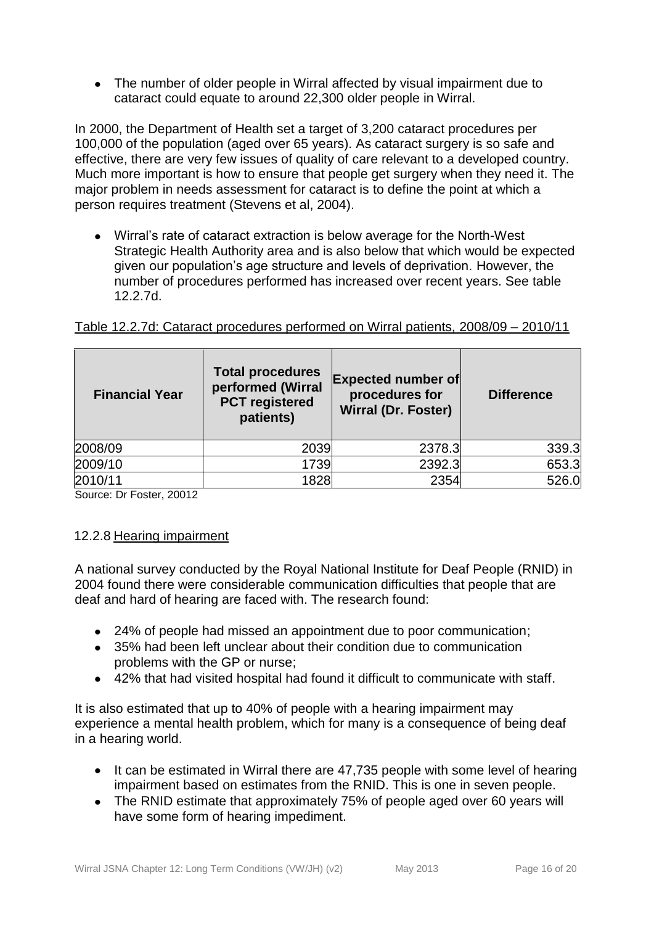• The number of older people in Wirral affected by visual impairment due to cataract could equate to around 22,300 older people in Wirral.

In 2000, the Department of Health set a target of 3,200 cataract procedures per 100,000 of the population (aged over 65 years). As cataract surgery is so safe and effective, there are very few issues of quality of care relevant to a developed country. Much more important is how to ensure that people get surgery when they need it. The major problem in needs assessment for cataract is to define the point at which a person requires treatment (Stevens et al, 2004).

Wirral's rate of cataract extraction is below average for the North-West Strategic Health Authority area and is also below that which would be expected given our population's age structure and levels of deprivation. However, the number of procedures performed has increased over recent years. See table 12.2.7d.

| <b>Financial Year</b> | <b>Total procedures</b><br>performed (Wirral<br><b>PCT</b> registered<br>patients) | <b>Expected number of</b><br>procedures for<br><b>Wirral (Dr. Foster)</b> | <b>Difference</b> |
|-----------------------|------------------------------------------------------------------------------------|---------------------------------------------------------------------------|-------------------|
| 2008/09               | 2039                                                                               | 2378.3                                                                    | 339.3             |
| 2009/10               | 1739                                                                               | 2392.3                                                                    | 653.3             |
| 2010/11               | 1828                                                                               | 2354                                                                      | 526.0             |

Table 12.2.7d: Cataract procedures performed on Wirral patients, 2008/09 – 2010/11

Source: Dr Foster, 20012

# <span id="page-15-0"></span>12.2.8 Hearing impairment

A national survey conducted by the Royal National Institute for Deaf People (RNID) in 2004 found there were considerable communication difficulties that people that are deaf and hard of hearing are faced with. The research found:

- 24% of people had missed an appointment due to poor communication;
- 35% had been left unclear about their condition due to communication problems with the GP or nurse;
- 42% that had visited hospital had found it difficult to communicate with staff.

It is also estimated that up to 40% of people with a hearing impairment may experience a mental health problem, which for many is a consequence of being deaf in a hearing world.

- It can be estimated in Wirral there are 47,735 people with some level of hearing impairment based on estimates from the RNID. This is one in seven people.
- The RNID estimate that approximately 75% of people aged over 60 years will have some form of hearing impediment.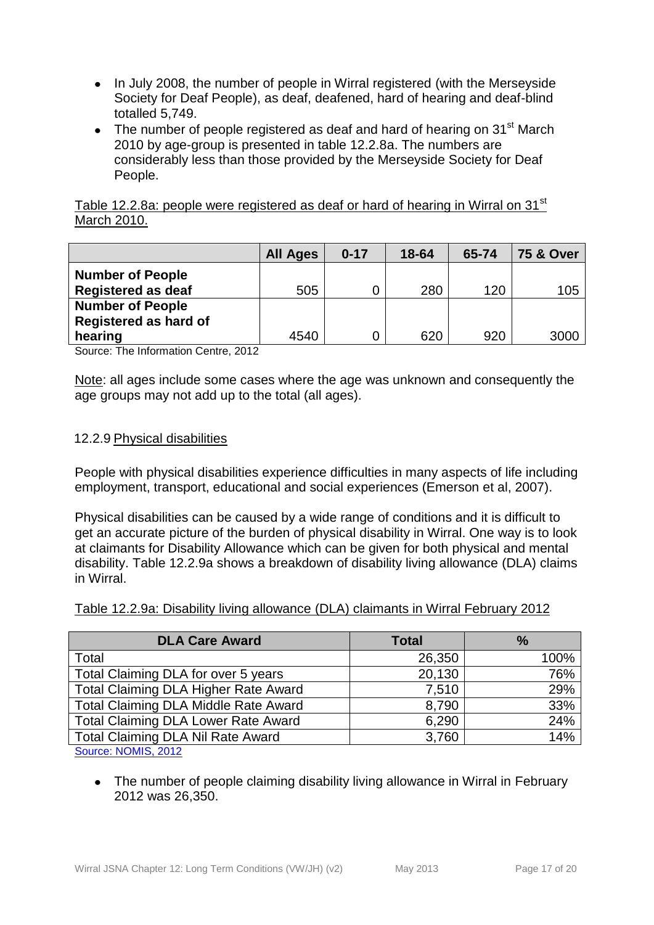- In July 2008, the number of people in Wirral registered (with the Merseyside Society for Deaf People), as deaf, deafened, hard of hearing and deaf-blind totalled 5,749.
- The number of people registered as deaf and hard of hearing on  $31<sup>st</sup>$  March 2010 by age-group is presented in table 12.2.8a. The numbers are considerably less than those provided by the Merseyside Society for Deaf People.

Table 12.2.8a: people were registered as deaf or hard of hearing in Wirral on 31<sup>st</sup> March 2010.

|                              | <b>All Ages</b> | $0 - 17$ | 18-64 | 65-74 | <b>75 &amp; Over</b> |
|------------------------------|-----------------|----------|-------|-------|----------------------|
| <b>Number of People</b>      |                 |          |       |       |                      |
| <b>Registered as deaf</b>    | 505             |          | 280   | 120   | 105                  |
| <b>Number of People</b>      |                 |          |       |       |                      |
| <b>Registered as hard of</b> |                 |          |       |       |                      |
| hearing                      | 4540            |          | 620   | 920   | 3000                 |

Source: The Information Centre, 2012

Note: all ages include some cases where the age was unknown and consequently the age groups may not add up to the total (all ages).

#### <span id="page-16-0"></span>12.2.9 Physical disabilities

People with physical disabilities experience difficulties in many aspects of life including employment, transport, educational and social experiences (Emerson et al, 2007).

Physical disabilities can be caused by a wide range of conditions and it is difficult to get an accurate picture of the burden of physical disability in Wirral. One way is to look at claimants for Disability Allowance which can be given for both physical and mental disability. Table 12.2.9a shows a breakdown of disability living allowance (DLA) claims in Wirral.

| <b>DLA Care Award</b>                       | <b>Total</b> | $\frac{9}{6}$ |
|---------------------------------------------|--------------|---------------|
| Total                                       | 26,350       | 100%          |
| Total Claiming DLA for over 5 years         | 20,130       | 76%           |
| <b>Total Claiming DLA Higher Rate Award</b> | 7,510        | 29%           |
| Total Claiming DLA Middle Rate Award        | 8,790        | 33%           |
| <b>Total Claiming DLA Lower Rate Award</b>  | 6,290        | 24%           |
| <b>Total Claiming DLA Nil Rate Award</b>    | 3,760        | 14%           |
| $O_{\text{max}}$ , NIONIIO, OOIO            |              |               |

[Source: NOMIS, 2012](https://www.nomisweb.co.uk/)

• The number of people claiming disability living allowance in Wirral in February 2012 was 26,350.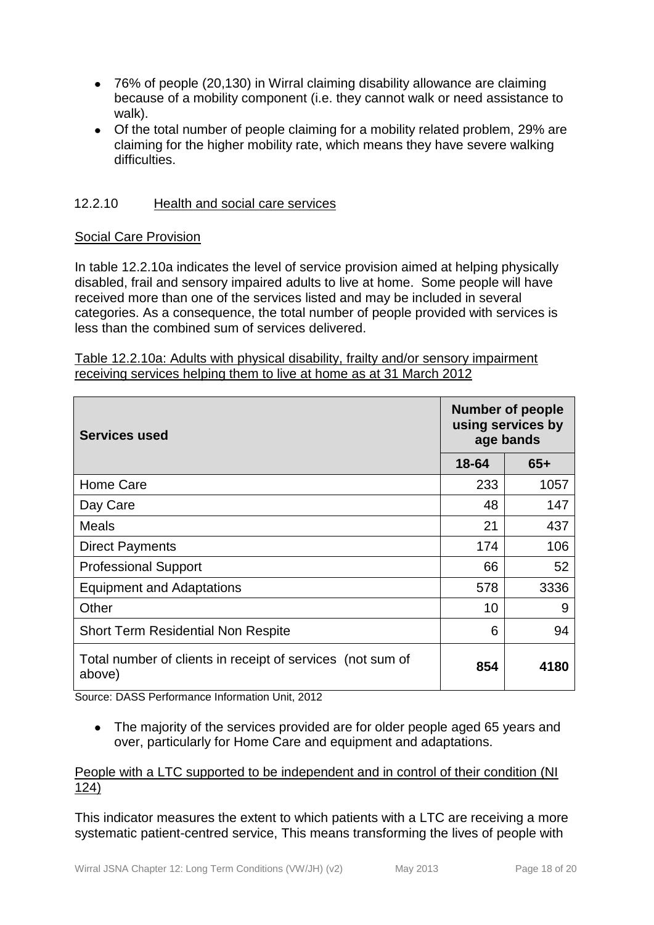- 76% of people (20,130) in Wirral claiming disability allowance are claiming because of a mobility component (i.e. they cannot walk or need assistance to walk).
- Of the total number of people claiming for a mobility related problem, 29% are claiming for the higher mobility rate, which means they have severe walking difficulties.

## <span id="page-17-0"></span>12.2.10 Health and social care services

#### Social Care Provision

In table 12.2.10a indicates the level of service provision aimed at helping physically disabled, frail and sensory impaired adults to live at home. Some people will have received more than one of the services listed and may be included in several categories. As a consequence, the total number of people provided with services is less than the combined sum of services delivered.

| Table 12.2.10a: Adults with physical disability, frailty and/or sensory impairment |  |  |
|------------------------------------------------------------------------------------|--|--|
| receiving services helping them to live at home as at 31 March 2012                |  |  |

| <b>Services used</b>                                                 | <b>Number of people</b><br>using services by<br>age bands |       |
|----------------------------------------------------------------------|-----------------------------------------------------------|-------|
|                                                                      | 18-64                                                     | $65+$ |
| Home Care                                                            | 233                                                       | 1057  |
| Day Care                                                             | 48                                                        | 147   |
| <b>Meals</b>                                                         | 21                                                        | 437   |
| <b>Direct Payments</b>                                               | 174                                                       | 106   |
| <b>Professional Support</b>                                          | 66                                                        | 52    |
| <b>Equipment and Adaptations</b>                                     | 578                                                       | 3336  |
| Other                                                                | 10                                                        | 9     |
| <b>Short Term Residential Non Respite</b>                            | 6                                                         | 94    |
| Total number of clients in receipt of services (not sum of<br>above) | 854                                                       | 4180  |

Source: DASS Performance Information Unit, 2012

The majority of the services provided are for older people aged 65 years and  $\bullet$ over, particularly for Home Care and equipment and adaptations.

#### People with a LTC supported to be independent and in control of their condition (NI 124)

This indicator measures the extent to which patients with a LTC are receiving a more systematic patient-centred service, This means transforming the lives of people with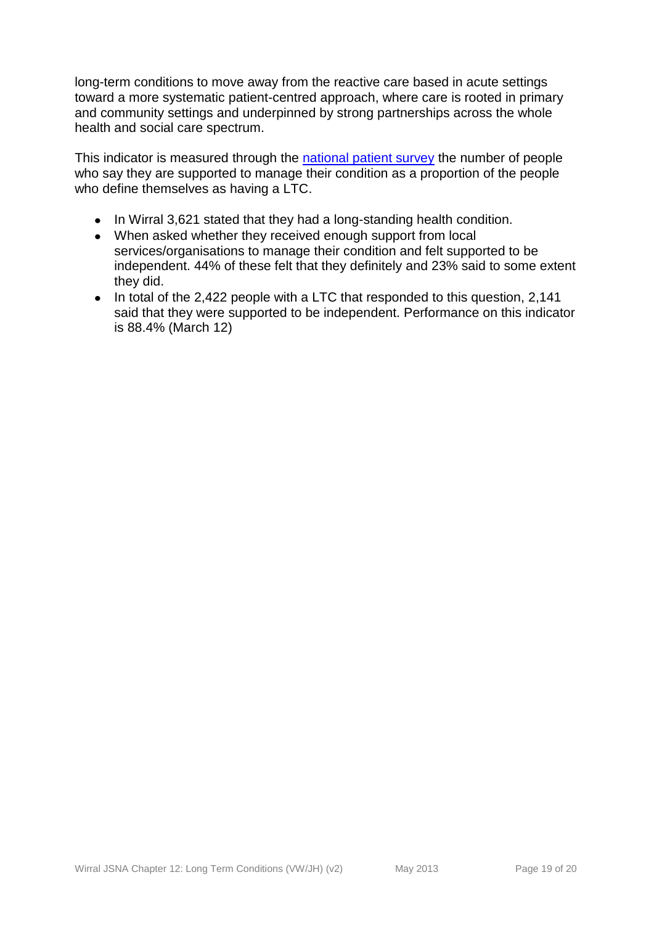long-term conditions to move away from the reactive care based in acute settings toward a more systematic patient-centred approach, where care is rooted in primary and community settings and underpinned by strong partnerships across the whole health and social care spectrum.

This indicator is measured through the [national patient survey](http://www.dh.gov.uk/en/Publicationsandstatistics/PublishedSurvey/NationalsurveyofNHSpatients/DH_633) the number of people who say they are supported to manage their condition as a proportion of the people who define themselves as having a LTC.

- In Wirral 3,621 stated that they had a long-standing health condition.
- When asked whether they received enough support from local  $\bullet$ services/organisations to manage their condition and felt supported to be independent. 44% of these felt that they definitely and 23% said to some extent they did.
- In total of the 2,422 people with a LTC that responded to this question, 2,141 said that they were supported to be independent. Performance on this indicator is 88.4% (March 12)